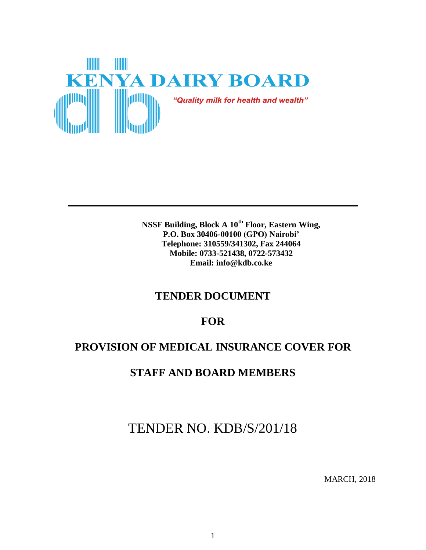

**NSSF Building, Block A 10th Floor, Eastern Wing, P.O. Box 30406-00100 (GPO) Nairobi' Telephone: 310559/341302, Fax 244064 Mobile: 0733-521438, 0722-573432 Email: info@kdb.co.ke**

# **TENDER DOCUMENT**

# **FOR**

# **PROVISION OF MEDICAL INSURANCE COVER FOR**

# **STAFF AND BOARD MEMBERS**

TENDER NO. KDB/S/201/18

MARCH, 2018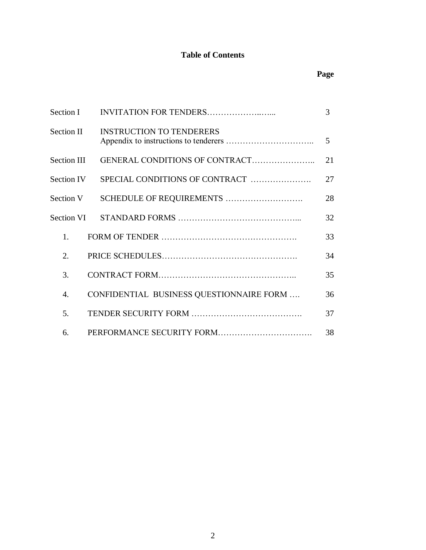# **Table of Contents**

# **Page**

| <b>Section I</b>  |                                          |                |  |
|-------------------|------------------------------------------|----------------|--|
| Section II        | <b>INSTRUCTION TO TENDERERS</b>          | $\mathfrak{H}$ |  |
| Section III       | GENERAL CONDITIONS OF CONTRACT           | 21             |  |
| <b>Section IV</b> | SPECIAL CONDITIONS OF CONTRACT           | 27             |  |
| Section V         | SCHEDULE OF REQUIREMENTS                 | 28             |  |
| Section VI        |                                          | 32             |  |
| 1.                |                                          | 33             |  |
| 2.                |                                          | 34             |  |
| 3.                |                                          | 35             |  |
| 4.                | CONFIDENTIAL BUSINESS QUESTIONNAIRE FORM | 36             |  |
| 5.                |                                          | 37             |  |
| 6.                |                                          | 38             |  |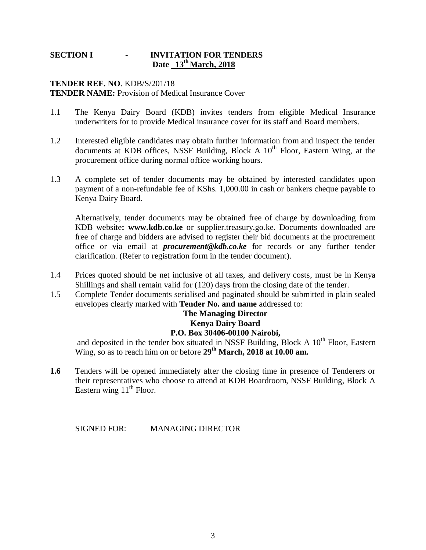### **SECTION I - INVITATION FOR TENDERS Date 13 th March, 2018**

#### **TENDER REF. NO**. KDB/S/201/18 **TENDER NAME:** Provision of Medical Insurance Cover

- 1.1 The Kenya Dairy Board (KDB) invites tenders from eligible Medical Insurance underwriters for to provide Medical insurance cover for its staff and Board members.
- 1.2 Interested eligible candidates may obtain further information from and inspect the tender documents at KDB offices, NSSF Building, Block A  $10<sup>th</sup>$  Floor, Eastern Wing, at the procurement office during normal office working hours.
- 1.3 A complete set of tender documents may be obtained by interested candidates upon payment of a non-refundable fee of KShs. 1,000.00 in cash or bankers cheque payable to Kenya Dairy Board.

Alternatively, tender documents may be obtained free of charge by downloading from KDB website**: www.kdb.co.ke** or supplier.treasury.go.ke. Documents downloaded are free of charge and bidders are advised to register their bid documents at the procurement office or via email at *procurement@kdb.co.ke* for records or any further tender clarification. (Refer to registration form in the tender document).

- 1.4 Prices quoted should be net inclusive of all taxes, and delivery costs, must be in Kenya Shillings and shall remain valid for (120) days from the closing date of the tender.
- 1.5 Complete Tender documents serialised and paginated should be submitted in plain sealed envelopes clearly marked with **Tender No. and name** addressed to:

# **The Managing Director Kenya Dairy Board P.O. Box 30406-00100 Nairobi,**

and deposited in the tender box situated in NSSF Building, Block A  $10^{th}$  Floor, Eastern Wing, so as to reach him on or before **29th March, 2018 at 10.00 am.**

**1.6** Tenders will be opened immediately after the closing time in presence of Tenderers or their representatives who choose to attend at KDB Boardroom, NSSF Building, Block A Eastern wing  $11<sup>th</sup>$  Floor.

SIGNED FOR: MANAGING DIRECTOR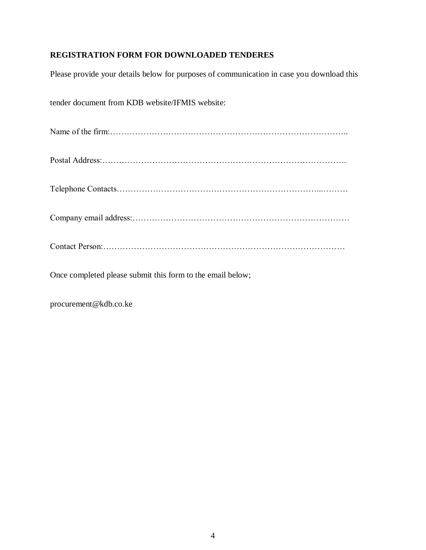# **REGISTRATION FORM FOR DOWNLOADED TENDERES**

Please provide your details below for purposes of communication in case you download this

tender document from KDB website/IFMIS website:

Name of the firm:…………………………………………………………………………..

Postal Address:…………………………………………………………………………….

Telephone Contacts………………………………………………………………...………

Company email address:……………………………………………………………………

Contact Person:……………………………………………………………………………

Once completed please submit this form to the email below;

procurement@kdb.co.ke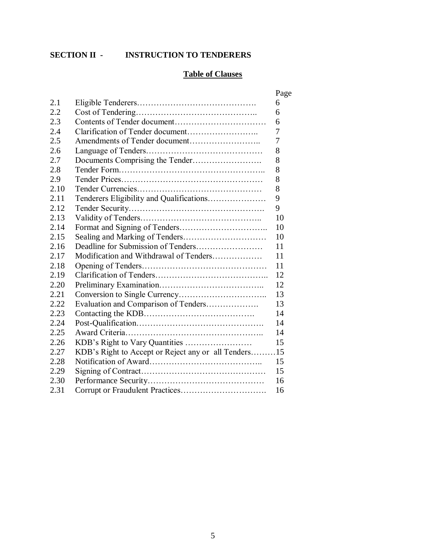# **SECTION II - INSTRUCTION TO TENDERERS**

# **Table of Clauses**

|      |                                                    | Page |
|------|----------------------------------------------------|------|
| 2.1  |                                                    | 6    |
| 2.2  |                                                    | 6    |
| 2.3  |                                                    | 6    |
| 2.4  |                                                    | 7    |
| 2.5  |                                                    | 7    |
| 2.6  |                                                    | 8    |
| 2.7  |                                                    | 8    |
| 2.8  |                                                    | 8    |
| 2.9  |                                                    | 8    |
| 2.10 |                                                    | 8    |
| 2.11 |                                                    | 9    |
| 2.12 |                                                    | 9    |
| 2.13 |                                                    | 10   |
| 2.14 |                                                    | 10   |
| 2.15 |                                                    | 10   |
| 2.16 |                                                    | 11   |
| 2.17 | Modification and Withdrawal of Tenders             | 11   |
| 2.18 |                                                    | 11   |
| 2.19 |                                                    | 12   |
| 2.20 |                                                    | 12   |
| 2.21 |                                                    | 13   |
| 2.22 | Evaluation and Comparison of Tenders               | 13   |
| 2.23 |                                                    | 14   |
| 2.24 |                                                    | 14   |
| 2.25 |                                                    | 14   |
| 2.26 |                                                    | 15   |
| 2.27 | KDB's Right to Accept or Reject any or all Tenders | .15  |
| 2.28 |                                                    | 15   |
| 2.29 |                                                    | 15   |
| 2.30 |                                                    | 16   |
| 2.31 |                                                    | 16   |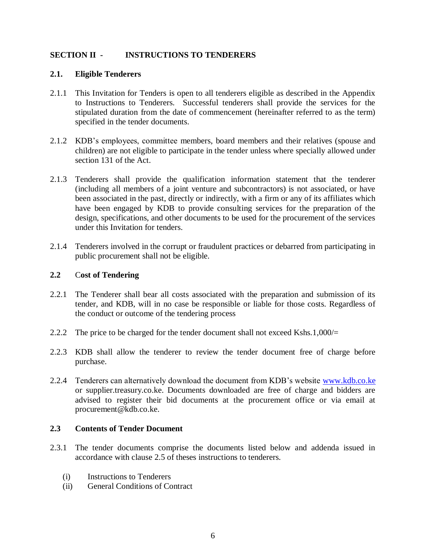# **SECTION II - INSTRUCTIONS TO TENDERERS**

#### **2.1. Eligible Tenderers**

- 2.1.1 This Invitation for Tenders is open to all tenderers eligible as described in the Appendix to Instructions to Tenderers. Successful tenderers shall provide the services for the stipulated duration from the date of commencement (hereinafter referred to as the term) specified in the tender documents.
- 2.1.2 KDB's employees, committee members, board members and their relatives (spouse and children) are not eligible to participate in the tender unless where specially allowed under section 131 of the Act.
- 2.1.3 Tenderers shall provide the qualification information statement that the tenderer (including all members of a joint venture and subcontractors) is not associated, or have been associated in the past, directly or indirectly, with a firm or any of its affiliates which have been engaged by KDB to provide consulting services for the preparation of the design, specifications, and other documents to be used for the procurement of the services under this Invitation for tenders.
- 2.1.4 Tenderers involved in the corrupt or fraudulent practices or debarred from participating in public procurement shall not be eligible.

# **2.2** C**ost of Tendering**

- 2.2.1 The Tenderer shall bear all costs associated with the preparation and submission of its tender, and KDB, will in no case be responsible or liable for those costs. Regardless of the conduct or outcome of the tendering process
- 2.2.2 The price to be charged for the tender document shall not exceed Kshs.1,000/=
- 2.2.3 KDB shall allow the tenderer to review the tender document free of charge before purchase.
- 2.2.4 Tenderers can alternatively download the document from KDB's website [www.kdb.co.ke](http://www.kdb.co.ke/) or supplier.treasury.co.ke. Documents downloaded are free of charge and bidders are advised to register their bid documents at the procurement office or via email at procurement@kdb.co.ke.

#### **2.3 Contents of Tender Document**

- 2.3.1 The tender documents comprise the documents listed below and addenda issued in accordance with clause 2.5 of theses instructions to tenderers.
	- (i) Instructions to Tenderers
	- (ii) General Conditions of Contract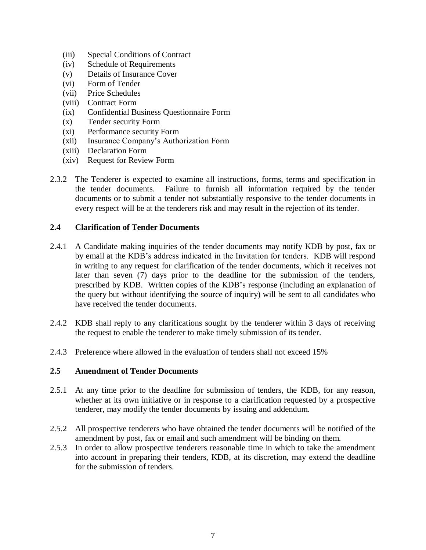- (iii) Special Conditions of Contract
- (iv) Schedule of Requirements
- (v) Details of Insurance Cover
- (vi) Form of Tender
- (vii) Price Schedules
- (viii) Contract Form
- (ix) Confidential Business Questionnaire Form
- (x) Tender security Form
- (xi) Performance security Form
- (xii) Insurance Company's Authorization Form
- (xiii) Declaration Form
- (xiv) Request for Review Form
- 2.3.2 The Tenderer is expected to examine all instructions, forms, terms and specification in the tender documents. Failure to furnish all information required by the tender documents or to submit a tender not substantially responsive to the tender documents in every respect will be at the tenderers risk and may result in the rejection of its tender.

# **2.4 Clarification of Tender Documents**

- 2.4.1 A Candidate making inquiries of the tender documents may notify KDB by post, fax or by email at the KDB's address indicated in the Invitation for tenders. KDB will respond in writing to any request for clarification of the tender documents, which it receives not later than seven (7) days prior to the deadline for the submission of the tenders, prescribed by KDB. Written copies of the KDB's response (including an explanation of the query but without identifying the source of inquiry) will be sent to all candidates who have received the tender documents.
- 2.4.2 KDB shall reply to any clarifications sought by the tenderer within 3 days of receiving the request to enable the tenderer to make timely submission of its tender.
- 2.4.3 Preference where allowed in the evaluation of tenders shall not exceed 15%

#### **2.5 Amendment of Tender Documents**

- 2.5.1 At any time prior to the deadline for submission of tenders, the KDB, for any reason, whether at its own initiative or in response to a clarification requested by a prospective tenderer, may modify the tender documents by issuing and addendum.
- 2.5.2 All prospective tenderers who have obtained the tender documents will be notified of the amendment by post, fax or email and such amendment will be binding on them.
- 2.5.3 In order to allow prospective tenderers reasonable time in which to take the amendment into account in preparing their tenders, KDB, at its discretion, may extend the deadline for the submission of tenders.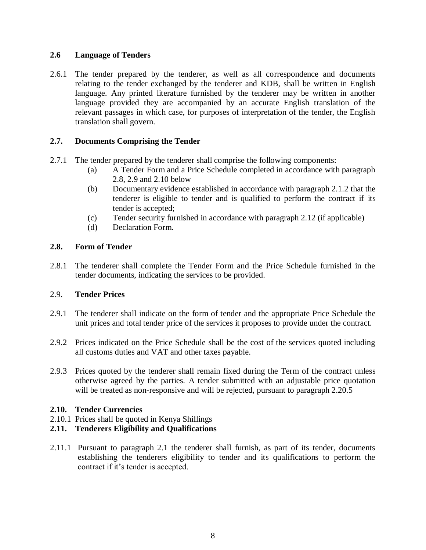# **2.6 Language of Tenders**

2.6.1 The tender prepared by the tenderer, as well as all correspondence and documents relating to the tender exchanged by the tenderer and KDB, shall be written in English language. Any printed literature furnished by the tenderer may be written in another language provided they are accompanied by an accurate English translation of the relevant passages in which case, for purposes of interpretation of the tender, the English translation shall govern.

# **2.7. Documents Comprising the Tender**

- 2.7.1 The tender prepared by the tenderer shall comprise the following components:
	- (a) A Tender Form and a Price Schedule completed in accordance with paragraph 2.8, 2.9 and 2.10 below
	- (b) Documentary evidence established in accordance with paragraph 2.1.2 that the tenderer is eligible to tender and is qualified to perform the contract if its tender is accepted;
	- (c) Tender security furnished in accordance with paragraph 2.12 (if applicable)
	- (d) Declaration Form.

#### **2.8. Form of Tender**

2.8.1 The tenderer shall complete the Tender Form and the Price Schedule furnished in the tender documents, indicating the services to be provided.

#### 2.9. **Tender Prices**

- 2.9.1 The tenderer shall indicate on the form of tender and the appropriate Price Schedule the unit prices and total tender price of the services it proposes to provide under the contract.
- 2.9.2 Prices indicated on the Price Schedule shall be the cost of the services quoted including all customs duties and VAT and other taxes payable.
- 2.9.3 Prices quoted by the tenderer shall remain fixed during the Term of the contract unless otherwise agreed by the parties. A tender submitted with an adjustable price quotation will be treated as non-responsive and will be rejected, pursuant to paragraph 2.20.5

#### **2.10. Tender Currencies**

2.10.1 Prices shall be quoted in Kenya Shillings

# **2.11. Tenderers Eligibility and Qualifications**

2.11.1 Pursuant to paragraph 2.1 the tenderer shall furnish, as part of its tender, documents establishing the tenderers eligibility to tender and its qualifications to perform the contract if it's tender is accepted.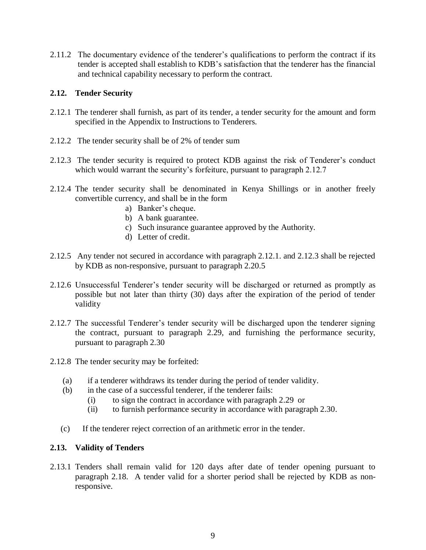2.11.2 The documentary evidence of the tenderer's qualifications to perform the contract if its tender is accepted shall establish to KDB's satisfaction that the tenderer has the financial and technical capability necessary to perform the contract.

# **2.12. Tender Security**

- 2.12.1 The tenderer shall furnish, as part of its tender, a tender security for the amount and form specified in the Appendix to Instructions to Tenderers.
- 2.12.2 The tender security shall be of 2% of tender sum
- 2.12.3 The tender security is required to protect KDB against the risk of Tenderer's conduct which would warrant the security's forfeiture, pursuant to paragraph 2.12.7
- 2.12.4 The tender security shall be denominated in Kenya Shillings or in another freely convertible currency, and shall be in the form
	- a) Banker's cheque.
	- b) A bank guarantee.
	- c) Such insurance guarantee approved by the Authority.
	- d) Letter of credit.
- 2.12.5 Any tender not secured in accordance with paragraph 2.12.1. and 2.12.3 shall be rejected by KDB as non-responsive, pursuant to paragraph 2.20.5
- 2.12.6 Unsuccessful Tenderer's tender security will be discharged or returned as promptly as possible but not later than thirty (30) days after the expiration of the period of tender validity
- 2.12.7 The successful Tenderer's tender security will be discharged upon the tenderer signing the contract, pursuant to paragraph 2.29, and furnishing the performance security, pursuant to paragraph 2.30
- 2.12.8 The tender security may be forfeited:
	- (a) if a tenderer withdraws its tender during the period of tender validity.
	- (b) in the case of a successful tenderer, if the tenderer fails:
		- (i) to sign the contract in accordance with paragraph 2.29 or
		- (ii) to furnish performance security in accordance with paragraph 2.30.
	- (c) If the tenderer reject correction of an arithmetic error in the tender.

#### **2.13. Validity of Tenders**

2.13.1 Tenders shall remain valid for 120 days after date of tender opening pursuant to paragraph 2.18. A tender valid for a shorter period shall be rejected by KDB as nonresponsive.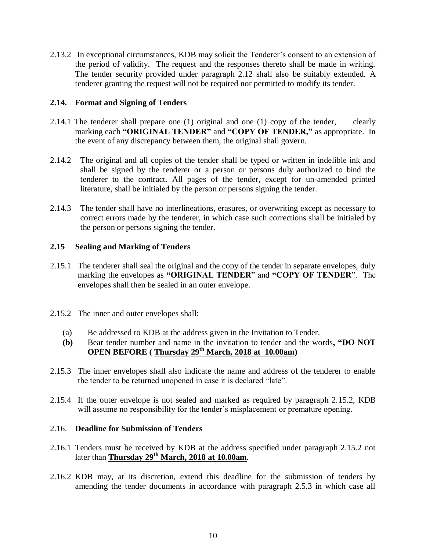2.13.2 In exceptional circumstances, KDB may solicit the Tenderer's consent to an extension of the period of validity. The request and the responses thereto shall be made in writing. The tender security provided under paragraph 2.12 shall also be suitably extended. A tenderer granting the request will not be required nor permitted to modify its tender.

# **2.14. Format and Signing of Tenders**

- 2.14.1 The tenderer shall prepare one (1) original and one (1) copy of the tender, clearly marking each **"ORIGINAL TENDER"** and **"COPY OF TENDER,"** as appropriate. In the event of any discrepancy between them, the original shall govern.
- 2.14.2 The original and all copies of the tender shall be typed or written in indelible ink and shall be signed by the tenderer or a person or persons duly authorized to bind the tenderer to the contract. All pages of the tender, except for un-amended printed literature, shall be initialed by the person or persons signing the tender.
- 2.14.3 The tender shall have no interlineations, erasures, or overwriting except as necessary to correct errors made by the tenderer, in which case such corrections shall be initialed by the person or persons signing the tender.

# **2.15 Sealing and Marking of Tenders**

- 2.15.1 The tenderer shall seal the original and the copy of the tender in separate envelopes, duly marking the envelopes as **"ORIGINAL TENDER**" and **"COPY OF TENDER**". The envelopes shall then be sealed in an outer envelope.
- 2.15.2 The inner and outer envelopes shall:
	- (a) Be addressed to KDB at the address given in the Invitation to Tender.
	- **(b)** Bear tender number and name in the invitation to tender and the words**, "DO NOT OPEN BEFORE ( Thursday 29th March, 2018 at 10.00am)**
- 2.15.3 The inner envelopes shall also indicate the name and address of the tenderer to enable the tender to be returned unopened in case it is declared "late".
- 2.15.4 If the outer envelope is not sealed and marked as required by paragraph 2.15.2, KDB will assume no responsibility for the tender's misplacement or premature opening.

### 2.16. **Deadline for Submission of Tenders**

- 2.16.1 Tenders must be received by KDB at the address specified under paragraph 2.15.2 not later than **Thursday 29th March, 2018 at 10.00am**.
- 2.16.2 KDB may, at its discretion, extend this deadline for the submission of tenders by amending the tender documents in accordance with paragraph 2.5.3 in which case all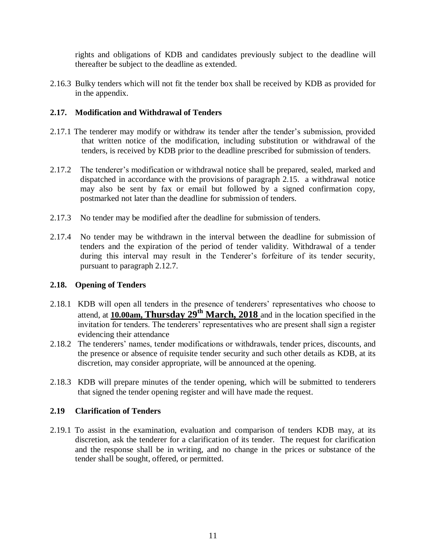rights and obligations of KDB and candidates previously subject to the deadline will thereafter be subject to the deadline as extended.

2.16.3 Bulky tenders which will not fit the tender box shall be received by KDB as provided for in the appendix.

# **2.17. Modification and Withdrawal of Tenders**

- 2.17.1 The tenderer may modify or withdraw its tender after the tender's submission, provided that written notice of the modification, including substitution or withdrawal of the tenders, is received by KDB prior to the deadline prescribed for submission of tenders.
- 2.17.2 The tenderer's modification or withdrawal notice shall be prepared, sealed, marked and dispatched in accordance with the provisions of paragraph 2.15. a withdrawal notice may also be sent by fax or email but followed by a signed confirmation copy, postmarked not later than the deadline for submission of tenders.
- 2.17.3 No tender may be modified after the deadline for submission of tenders.
- 2.17.4 No tender may be withdrawn in the interval between the deadline for submission of tenders and the expiration of the period of tender validity. Withdrawal of a tender during this interval may result in the Tenderer's forfeiture of its tender security, pursuant to paragraph 2.12.7.

#### **2.18. Opening of Tenders**

- 2.18.1 KDB will open all tenders in the presence of tenderers' representatives who choose to attend, at **10.00am, Thursday 29th March, 2018** and in the location specified in the invitation for tenders. The tenderers' representatives who are present shall sign a register evidencing their attendance
- 2.18.2 The tenderers' names, tender modifications or withdrawals, tender prices, discounts, and the presence or absence of requisite tender security and such other details as KDB, at its discretion, may consider appropriate, will be announced at the opening.
- 2.18.3 KDB will prepare minutes of the tender opening, which will be submitted to tenderers that signed the tender opening register and will have made the request.

#### **2.19 Clarification of Tenders**

2.19.1 To assist in the examination, evaluation and comparison of tenders KDB may, at its discretion, ask the tenderer for a clarification of its tender. The request for clarification and the response shall be in writing, and no change in the prices or substance of the tender shall be sought, offered, or permitted.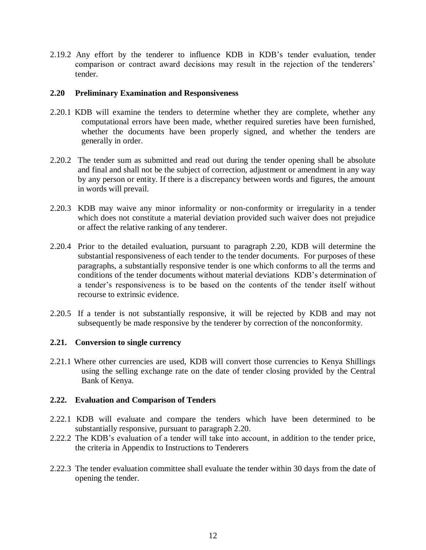2.19.2 Any effort by the tenderer to influence KDB in KDB's tender evaluation, tender comparison or contract award decisions may result in the rejection of the tenderers' tender.

#### **2.20 Preliminary Examination and Responsiveness**

- 2.20.1 KDB will examine the tenders to determine whether they are complete, whether any computational errors have been made, whether required sureties have been furnished, whether the documents have been properly signed, and whether the tenders are generally in order.
- 2.20.2 The tender sum as submitted and read out during the tender opening shall be absolute and final and shall not be the subject of correction, adjustment or amendment in any way by any person or entity. If there is a discrepancy between words and figures, the amount in words will prevail.
- 2.20.3 KDB may waive any minor informality or non-conformity or irregularity in a tender which does not constitute a material deviation provided such waiver does not prejudice or affect the relative ranking of any tenderer.
- 2.20.4 Prior to the detailed evaluation, pursuant to paragraph 2.20, KDB will determine the substantial responsiveness of each tender to the tender documents. For purposes of these paragraphs, a substantially responsive tender is one which conforms to all the terms and conditions of the tender documents without material deviations KDB's determination of a tender's responsiveness is to be based on the contents of the tender itself without recourse to extrinsic evidence.
- 2.20.5 If a tender is not substantially responsive, it will be rejected by KDB and may not subsequently be made responsive by the tenderer by correction of the nonconformity.

#### **2.21. Conversion to single currency**

2.21.1 Where other currencies are used, KDB will convert those currencies to Kenya Shillings using the selling exchange rate on the date of tender closing provided by the Central Bank of Kenya.

#### **2.22. Evaluation and Comparison of Tenders**

- 2.22.1 KDB will evaluate and compare the tenders which have been determined to be substantially responsive, pursuant to paragraph 2.20.
- 2.22.2 The KDB's evaluation of a tender will take into account, in addition to the tender price, the criteria in Appendix to Instructions to Tenderers
- 2.22.3 The tender evaluation committee shall evaluate the tender within 30 days from the date of opening the tender.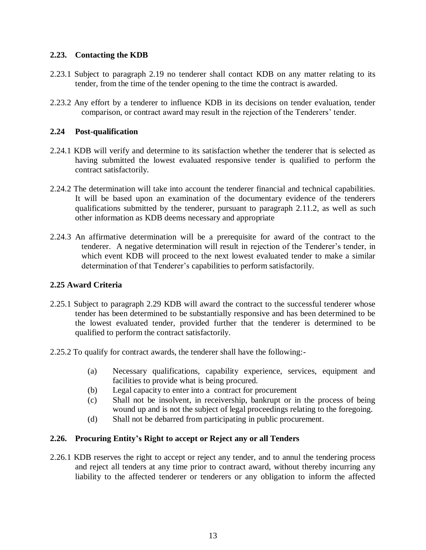# **2.23. Contacting the KDB**

- 2.23.1 Subject to paragraph 2.19 no tenderer shall contact KDB on any matter relating to its tender, from the time of the tender opening to the time the contract is awarded.
- 2.23.2 Any effort by a tenderer to influence KDB in its decisions on tender evaluation, tender comparison, or contract award may result in the rejection of the Tenderers' tender.

# **2.24 Post-qualification**

- 2.24.1 KDB will verify and determine to its satisfaction whether the tenderer that is selected as having submitted the lowest evaluated responsive tender is qualified to perform the contract satisfactorily.
- 2.24.2 The determination will take into account the tenderer financial and technical capabilities. It will be based upon an examination of the documentary evidence of the tenderers qualifications submitted by the tenderer, pursuant to paragraph 2.11.2, as well as such other information as KDB deems necessary and appropriate
- 2.24.3 An affirmative determination will be a prerequisite for award of the contract to the tenderer. A negative determination will result in rejection of the Tenderer's tender, in which event KDB will proceed to the next lowest evaluated tender to make a similar determination of that Tenderer's capabilities to perform satisfactorily.

# **2.25 Award Criteria**

- 2.25.1 Subject to paragraph 2.29 KDB will award the contract to the successful tenderer whose tender has been determined to be substantially responsive and has been determined to be the lowest evaluated tender, provided further that the tenderer is determined to be qualified to perform the contract satisfactorily.
- 2.25.2 To qualify for contract awards, the tenderer shall have the following:-
	- (a) Necessary qualifications, capability experience, services, equipment and facilities to provide what is being procured.
	- (b) Legal capacity to enter into a contract for procurement
	- (c) Shall not be insolvent, in receivership, bankrupt or in the process of being wound up and is not the subject of legal proceedings relating to the foregoing.
	- (d) Shall not be debarred from participating in public procurement.

#### **2.26. Procuring Entity's Right to accept or Reject any or all Tenders**

2.26.1 KDB reserves the right to accept or reject any tender, and to annul the tendering process and reject all tenders at any time prior to contract award, without thereby incurring any liability to the affected tenderer or tenderers or any obligation to inform the affected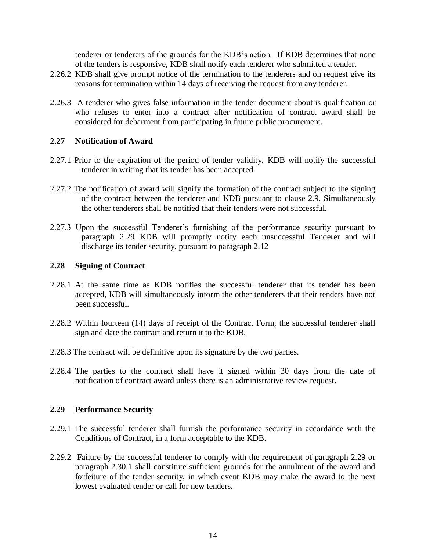tenderer or tenderers of the grounds for the KDB's action. If KDB determines that none of the tenders is responsive, KDB shall notify each tenderer who submitted a tender.

- 2.26.2 KDB shall give prompt notice of the termination to the tenderers and on request give its reasons for termination within 14 days of receiving the request from any tenderer.
- 2.26.3 A tenderer who gives false information in the tender document about is qualification or who refuses to enter into a contract after notification of contract award shall be considered for debarment from participating in future public procurement.

#### **2.27 Notification of Award**

- 2.27.1 Prior to the expiration of the period of tender validity, KDB will notify the successful tenderer in writing that its tender has been accepted.
- 2.27.2 The notification of award will signify the formation of the contract subject to the signing of the contract between the tenderer and KDB pursuant to clause 2.9. Simultaneously the other tenderers shall be notified that their tenders were not successful.
- 2.27.3 Upon the successful Tenderer's furnishing of the performance security pursuant to paragraph 2.29 KDB will promptly notify each unsuccessful Tenderer and will discharge its tender security, pursuant to paragraph 2.12

#### **2.28 Signing of Contract**

- 2.28.1 At the same time as KDB notifies the successful tenderer that its tender has been accepted, KDB will simultaneously inform the other tenderers that their tenders have not been successful.
- 2.28.2 Within fourteen (14) days of receipt of the Contract Form, the successful tenderer shall sign and date the contract and return it to the KDB.
- 2.28.3 The contract will be definitive upon its signature by the two parties.
- 2.28.4 The parties to the contract shall have it signed within 30 days from the date of notification of contract award unless there is an administrative review request.

#### **2.29 Performance Security**

- 2.29.1 The successful tenderer shall furnish the performance security in accordance with the Conditions of Contract, in a form acceptable to the KDB.
- 2.29.2 Failure by the successful tenderer to comply with the requirement of paragraph 2.29 or paragraph 2.30.1 shall constitute sufficient grounds for the annulment of the award and forfeiture of the tender security, in which event KDB may make the award to the next lowest evaluated tender or call for new tenders.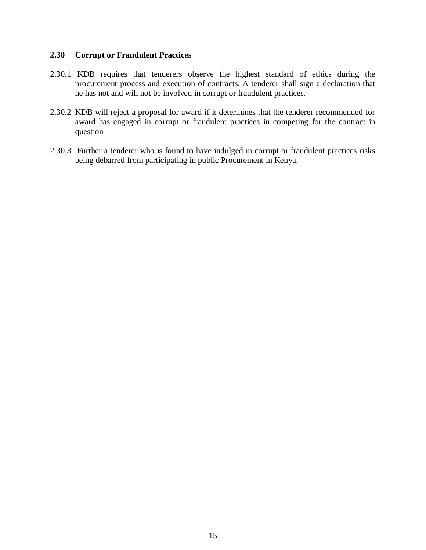# **2.30 Corrupt or Fraudulent Practices**

- 2.30.1 KDB requires that tenderers observe the highest standard of ethics during the procurement process and execution of contracts. A tenderer shall sign a declaration that he has not and will not be involved in corrupt or fraudulent practices.
- 2.30.2 KDB will reject a proposal for award if it determines that the tenderer recommended for award has engaged in corrupt or fraudulent practices in competing for the contract in question
- 2.30.3 Further a tenderer who is found to have indulged in corrupt or fraudulent practices risks being debarred from participating in public Procurement in Kenya.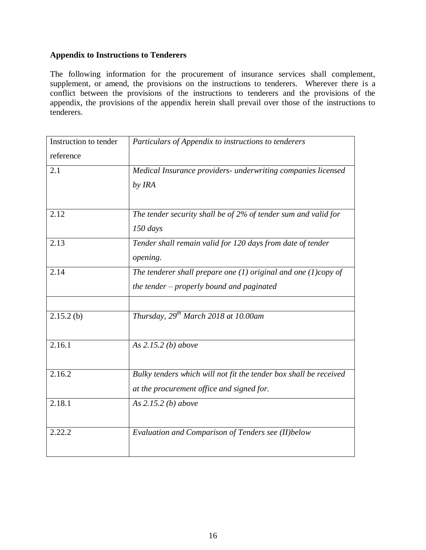# **Appendix to Instructions to Tenderers**

The following information for the procurement of insurance services shall complement, supplement, or amend, the provisions on the instructions to tenderers. Wherever there is a conflict between the provisions of the instructions to tenderers and the provisions of the appendix, the provisions of the appendix herein shall prevail over those of the instructions to tenderers.

| Instruction to tender | Particulars of Appendix to instructions to tenderers                |
|-----------------------|---------------------------------------------------------------------|
| reference             |                                                                     |
| 2.1                   | Medical Insurance providers- underwriting companies licensed        |
|                       | by IRA                                                              |
|                       |                                                                     |
| 2.12                  | The tender security shall be of 2% of tender sum and valid for      |
|                       | $150$ days                                                          |
| 2.13                  | Tender shall remain valid for 120 days from date of tender          |
|                       | opening.                                                            |
| 2.14                  | The tenderer shall prepare one $(1)$ original and one $(1)$ copy of |
|                       | the tender – properly bound and paginated                           |
|                       |                                                                     |
| $2.15.2$ (b)          | Thursday, $29^{th}$ March 2018 at 10.00am                           |
|                       |                                                                     |
| 2.16.1                | As $2.15.2$ (b) above                                               |
|                       |                                                                     |
| 2.16.2                | Bulky tenders which will not fit the tender box shall be received   |
|                       | at the procurement office and signed for.                           |
| 2.18.1                | As $2.15.2$ (b) above                                               |
|                       |                                                                     |
| 2.22.2                | Evaluation and Comparison of Tenders see (II) below                 |
|                       |                                                                     |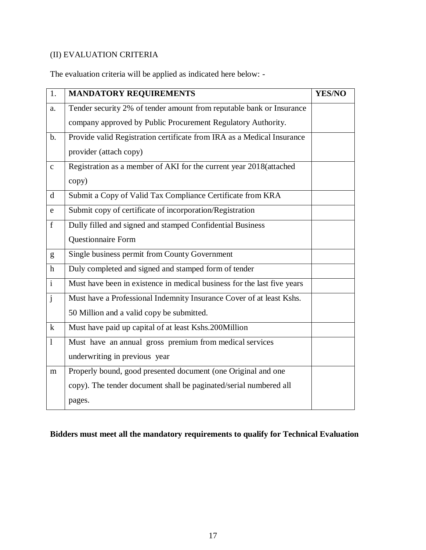# (II) EVALUATION CRITERIA

The evaluation criteria will be applied as indicated here below: -

| 1.             | <b>MANDATORY REQUIREMENTS</b>                                           | <b>YES/NO</b> |
|----------------|-------------------------------------------------------------------------|---------------|
| a.             | Tender security 2% of tender amount from reputable bank or Insurance    |               |
|                | company approved by Public Procurement Regulatory Authority.            |               |
| $b$ .          | Provide valid Registration certificate from IRA as a Medical Insurance  |               |
|                | provider (attach copy)                                                  |               |
| $\mathbf{C}$   | Registration as a member of AKI for the current year 2018(attached      |               |
|                | copy)                                                                   |               |
| $\mathbf d$    | Submit a Copy of Valid Tax Compliance Certificate from KRA              |               |
| e              | Submit copy of certificate of incorporation/Registration                |               |
| f              | Dully filled and signed and stamped Confidential Business               |               |
|                | Questionnaire Form                                                      |               |
| g              | Single business permit from County Government                           |               |
| $\mathbf{h}$   | Duly completed and signed and stamped form of tender                    |               |
| $\overline{i}$ | Must have been in existence in medical business for the last five years |               |
| $\mathbf{j}$   | Must have a Professional Indemnity Insurance Cover of at least Kshs.    |               |
|                | 50 Million and a valid copy be submitted.                               |               |
| $\bf k$        | Must have paid up capital of at least Kshs.200Million                   |               |
| $\mathbf{1}$   | Must have an annual gross premium from medical services                 |               |
|                | underwriting in previous year                                           |               |
| m              | Properly bound, good presented document (one Original and one           |               |
|                | copy). The tender document shall be paginated/serial numbered all       |               |
|                | pages.                                                                  |               |

# **Bidders must meet all the mandatory requirements to qualify for Technical Evaluation**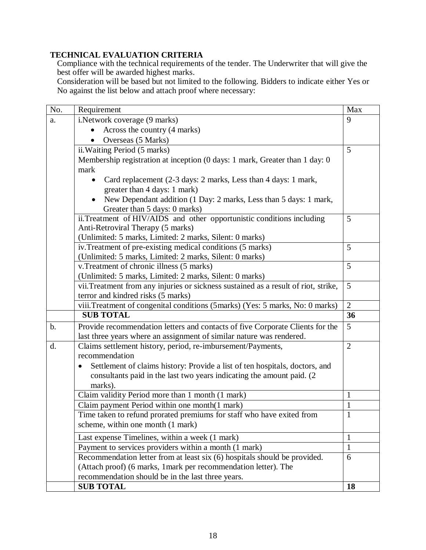# **TECHNICAL EVALUATION CRITERIA**

Compliance with the technical requirements of the tender. The Underwriter that will give the best offer will be awarded highest marks.

Consideration will be based but not limited to the following. Bidders to indicate either Yes or No against the list below and attach proof where necessary:

| No.            | Requirement                                                                              | Max            |
|----------------|------------------------------------------------------------------------------------------|----------------|
| a.             | i.Network coverage (9 marks)                                                             | 9              |
|                | Across the country (4 marks)                                                             |                |
|                | Overseas (5 Marks)                                                                       |                |
|                | ii. Waiting Period (5 marks)                                                             | 5              |
|                | Membership registration at inception (0 days: 1 mark, Greater than 1 day: 0              |                |
|                | mark                                                                                     |                |
|                | Card replacement (2-3 days: 2 marks, Less than 4 days: 1 mark,                           |                |
|                | greater than 4 days: 1 mark)                                                             |                |
|                | New Dependant addition (1 Day: 2 marks, Less than 5 days: 1 mark,                        |                |
|                | Greater than 5 days: 0 marks)                                                            |                |
|                | ii.Treatment of HIV/AIDS and other opportunistic conditions including                    | 5              |
|                | Anti-Retroviral Therapy (5 marks)                                                        |                |
|                | (Unlimited: 5 marks, Limited: 2 marks, Silent: 0 marks)                                  |                |
|                | iv. Treatment of pre-existing medical conditions (5 marks)                               | 5              |
|                | (Unlimited: 5 marks, Limited: 2 marks, Silent: 0 marks)                                  |                |
|                | v. Treatment of chronic illness (5 marks)                                                | 5              |
|                | (Unlimited: 5 marks, Limited: 2 marks, Silent: 0 marks)                                  |                |
|                | vii. Treatment from any injuries or sickness sustained as a result of riot, strike,      | 5              |
|                | terror and kindred risks (5 marks)                                                       |                |
|                | viii. Treatment of congenital conditions (5marks) (Yes: 5 marks, No: 0 marks)            | $\overline{2}$ |
|                | <b>SUB TOTAL</b>                                                                         | 36             |
| $\mathbf{b}$ . | Provide recommendation letters and contacts of five Corporate Clients for the            | 5              |
|                | last three years where an assignment of similar nature was rendered.                     |                |
| d.             | Claims settlement history, period, re-imbursement/Payments,                              | $\overline{2}$ |
|                | recommendation                                                                           |                |
|                | Settlement of claims history: Provide a list of ten hospitals, doctors, and<br>$\bullet$ |                |
|                | consultants paid in the last two years indicating the amount paid. (2)                   |                |
|                | marks).                                                                                  |                |
|                | Claim validity Period more than 1 month (1 mark)                                         | $\mathbf{1}$   |
|                | Claim payment Period within one month(1 mark)                                            | $\mathbf{1}$   |
|                | Time taken to refund prorated premiums for staff who have exited from                    | $\mathbf{1}$   |
|                | scheme, within one month (1 mark)                                                        |                |
|                | Last expense Timelines, within a week (1 mark)                                           | $\mathbf{1}$   |
|                | Payment to services providers within a month (1 mark)                                    | $\mathbf{1}$   |
|                | Recommendation letter from at least six (6) hospitals should be provided.                | 6              |
|                | (Attach proof) (6 marks, 1 mark per recommendation letter). The                          |                |
|                | recommendation should be in the last three years.                                        |                |
|                | <b>SUB TOTAL</b>                                                                         | 18             |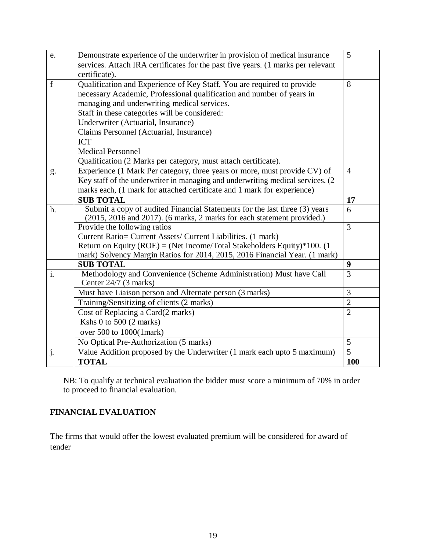| services. Attach IRA certificates for the past five years. (1 marks per relevant<br>certificate).<br>Qualification and Experience of Key Staff. You are required to provide<br>8<br>f<br>necessary Academic, Professional qualification and number of years in<br>managing and underwriting medical services.<br>Staff in these categories will be considered:<br>Underwriter (Actuarial, Insurance)<br>Claims Personnel (Actuarial, Insurance)<br><b>ICT</b><br><b>Medical Personnel</b><br>Qualification (2 Marks per category, must attach certificate).<br>Experience (1 Mark Per category, three years or more, must provide CV) of<br>$\overline{4}$<br>g.<br>Key staff of the underwriter in managing and underwriting medical services. (2)<br>marks each, (1 mark for attached certificate and 1 mark for experience)<br><b>SUB TOTAL</b><br>17<br>Submit a copy of audited Financial Statements for the last three (3) years<br>6<br>h.<br>(2015, 2016 and 2017). (6 marks, 2 marks for each statement provided.)<br>$\overline{3}$<br>Provide the following ratios<br>Current Ratio= Current Assets/ Current Liabilities. (1 mark)<br>Return on Equity (ROE) = (Net Income/Total Stakeholders Equity)*100. (1)<br>mark) Solvency Margin Ratios for 2014, 2015, 2016 Financial Year. (1 mark)<br><b>SUB TOTAL</b><br>9<br>Methodology and Convenience (Scheme Administration) Must have Call<br>3<br>$\mathbf{i}$ .<br>Center 24/7 (3 marks)<br>3<br>Must have Liaison person and Alternate person (3 marks)<br>$\overline{2}$<br>Training/Sensitizing of clients (2 marks)<br>Cost of Replacing a Card(2 marks)<br>$\overline{2}$<br>Kshs 0 to 500 (2 marks)<br>over 500 to 1000(1mark)<br>No Optical Pre-Authorization (5 marks)<br>5<br>$\overline{5}$<br>Value Addition proposed by the Underwriter (1 mark each upto 5 maximum)<br>j.<br><b>TOTAL</b><br>100 |    |                                                                             |   |
|-----------------------------------------------------------------------------------------------------------------------------------------------------------------------------------------------------------------------------------------------------------------------------------------------------------------------------------------------------------------------------------------------------------------------------------------------------------------------------------------------------------------------------------------------------------------------------------------------------------------------------------------------------------------------------------------------------------------------------------------------------------------------------------------------------------------------------------------------------------------------------------------------------------------------------------------------------------------------------------------------------------------------------------------------------------------------------------------------------------------------------------------------------------------------------------------------------------------------------------------------------------------------------------------------------------------------------------------------------------------------------------------------------------------------------------------------------------------------------------------------------------------------------------------------------------------------------------------------------------------------------------------------------------------------------------------------------------------------------------------------------------------------------------------------------------------------------------------------------------------------------|----|-----------------------------------------------------------------------------|---|
|                                                                                                                                                                                                                                                                                                                                                                                                                                                                                                                                                                                                                                                                                                                                                                                                                                                                                                                                                                                                                                                                                                                                                                                                                                                                                                                                                                                                                                                                                                                                                                                                                                                                                                                                                                                                                                                                             | e. | Demonstrate experience of the underwriter in provision of medical insurance | 5 |
|                                                                                                                                                                                                                                                                                                                                                                                                                                                                                                                                                                                                                                                                                                                                                                                                                                                                                                                                                                                                                                                                                                                                                                                                                                                                                                                                                                                                                                                                                                                                                                                                                                                                                                                                                                                                                                                                             |    |                                                                             |   |
|                                                                                                                                                                                                                                                                                                                                                                                                                                                                                                                                                                                                                                                                                                                                                                                                                                                                                                                                                                                                                                                                                                                                                                                                                                                                                                                                                                                                                                                                                                                                                                                                                                                                                                                                                                                                                                                                             |    |                                                                             |   |
|                                                                                                                                                                                                                                                                                                                                                                                                                                                                                                                                                                                                                                                                                                                                                                                                                                                                                                                                                                                                                                                                                                                                                                                                                                                                                                                                                                                                                                                                                                                                                                                                                                                                                                                                                                                                                                                                             |    |                                                                             |   |
|                                                                                                                                                                                                                                                                                                                                                                                                                                                                                                                                                                                                                                                                                                                                                                                                                                                                                                                                                                                                                                                                                                                                                                                                                                                                                                                                                                                                                                                                                                                                                                                                                                                                                                                                                                                                                                                                             |    |                                                                             |   |
|                                                                                                                                                                                                                                                                                                                                                                                                                                                                                                                                                                                                                                                                                                                                                                                                                                                                                                                                                                                                                                                                                                                                                                                                                                                                                                                                                                                                                                                                                                                                                                                                                                                                                                                                                                                                                                                                             |    |                                                                             |   |
|                                                                                                                                                                                                                                                                                                                                                                                                                                                                                                                                                                                                                                                                                                                                                                                                                                                                                                                                                                                                                                                                                                                                                                                                                                                                                                                                                                                                                                                                                                                                                                                                                                                                                                                                                                                                                                                                             |    |                                                                             |   |
|                                                                                                                                                                                                                                                                                                                                                                                                                                                                                                                                                                                                                                                                                                                                                                                                                                                                                                                                                                                                                                                                                                                                                                                                                                                                                                                                                                                                                                                                                                                                                                                                                                                                                                                                                                                                                                                                             |    |                                                                             |   |
|                                                                                                                                                                                                                                                                                                                                                                                                                                                                                                                                                                                                                                                                                                                                                                                                                                                                                                                                                                                                                                                                                                                                                                                                                                                                                                                                                                                                                                                                                                                                                                                                                                                                                                                                                                                                                                                                             |    |                                                                             |   |
|                                                                                                                                                                                                                                                                                                                                                                                                                                                                                                                                                                                                                                                                                                                                                                                                                                                                                                                                                                                                                                                                                                                                                                                                                                                                                                                                                                                                                                                                                                                                                                                                                                                                                                                                                                                                                                                                             |    |                                                                             |   |
|                                                                                                                                                                                                                                                                                                                                                                                                                                                                                                                                                                                                                                                                                                                                                                                                                                                                                                                                                                                                                                                                                                                                                                                                                                                                                                                                                                                                                                                                                                                                                                                                                                                                                                                                                                                                                                                                             |    |                                                                             |   |
|                                                                                                                                                                                                                                                                                                                                                                                                                                                                                                                                                                                                                                                                                                                                                                                                                                                                                                                                                                                                                                                                                                                                                                                                                                                                                                                                                                                                                                                                                                                                                                                                                                                                                                                                                                                                                                                                             |    |                                                                             |   |
|                                                                                                                                                                                                                                                                                                                                                                                                                                                                                                                                                                                                                                                                                                                                                                                                                                                                                                                                                                                                                                                                                                                                                                                                                                                                                                                                                                                                                                                                                                                                                                                                                                                                                                                                                                                                                                                                             |    |                                                                             |   |
|                                                                                                                                                                                                                                                                                                                                                                                                                                                                                                                                                                                                                                                                                                                                                                                                                                                                                                                                                                                                                                                                                                                                                                                                                                                                                                                                                                                                                                                                                                                                                                                                                                                                                                                                                                                                                                                                             |    |                                                                             |   |
|                                                                                                                                                                                                                                                                                                                                                                                                                                                                                                                                                                                                                                                                                                                                                                                                                                                                                                                                                                                                                                                                                                                                                                                                                                                                                                                                                                                                                                                                                                                                                                                                                                                                                                                                                                                                                                                                             |    |                                                                             |   |
|                                                                                                                                                                                                                                                                                                                                                                                                                                                                                                                                                                                                                                                                                                                                                                                                                                                                                                                                                                                                                                                                                                                                                                                                                                                                                                                                                                                                                                                                                                                                                                                                                                                                                                                                                                                                                                                                             |    |                                                                             |   |
|                                                                                                                                                                                                                                                                                                                                                                                                                                                                                                                                                                                                                                                                                                                                                                                                                                                                                                                                                                                                                                                                                                                                                                                                                                                                                                                                                                                                                                                                                                                                                                                                                                                                                                                                                                                                                                                                             |    |                                                                             |   |
|                                                                                                                                                                                                                                                                                                                                                                                                                                                                                                                                                                                                                                                                                                                                                                                                                                                                                                                                                                                                                                                                                                                                                                                                                                                                                                                                                                                                                                                                                                                                                                                                                                                                                                                                                                                                                                                                             |    |                                                                             |   |
|                                                                                                                                                                                                                                                                                                                                                                                                                                                                                                                                                                                                                                                                                                                                                                                                                                                                                                                                                                                                                                                                                                                                                                                                                                                                                                                                                                                                                                                                                                                                                                                                                                                                                                                                                                                                                                                                             |    |                                                                             |   |
|                                                                                                                                                                                                                                                                                                                                                                                                                                                                                                                                                                                                                                                                                                                                                                                                                                                                                                                                                                                                                                                                                                                                                                                                                                                                                                                                                                                                                                                                                                                                                                                                                                                                                                                                                                                                                                                                             |    |                                                                             |   |
|                                                                                                                                                                                                                                                                                                                                                                                                                                                                                                                                                                                                                                                                                                                                                                                                                                                                                                                                                                                                                                                                                                                                                                                                                                                                                                                                                                                                                                                                                                                                                                                                                                                                                                                                                                                                                                                                             |    |                                                                             |   |
|                                                                                                                                                                                                                                                                                                                                                                                                                                                                                                                                                                                                                                                                                                                                                                                                                                                                                                                                                                                                                                                                                                                                                                                                                                                                                                                                                                                                                                                                                                                                                                                                                                                                                                                                                                                                                                                                             |    |                                                                             |   |
|                                                                                                                                                                                                                                                                                                                                                                                                                                                                                                                                                                                                                                                                                                                                                                                                                                                                                                                                                                                                                                                                                                                                                                                                                                                                                                                                                                                                                                                                                                                                                                                                                                                                                                                                                                                                                                                                             |    |                                                                             |   |
|                                                                                                                                                                                                                                                                                                                                                                                                                                                                                                                                                                                                                                                                                                                                                                                                                                                                                                                                                                                                                                                                                                                                                                                                                                                                                                                                                                                                                                                                                                                                                                                                                                                                                                                                                                                                                                                                             |    |                                                                             |   |
|                                                                                                                                                                                                                                                                                                                                                                                                                                                                                                                                                                                                                                                                                                                                                                                                                                                                                                                                                                                                                                                                                                                                                                                                                                                                                                                                                                                                                                                                                                                                                                                                                                                                                                                                                                                                                                                                             |    |                                                                             |   |
|                                                                                                                                                                                                                                                                                                                                                                                                                                                                                                                                                                                                                                                                                                                                                                                                                                                                                                                                                                                                                                                                                                                                                                                                                                                                                                                                                                                                                                                                                                                                                                                                                                                                                                                                                                                                                                                                             |    |                                                                             |   |
|                                                                                                                                                                                                                                                                                                                                                                                                                                                                                                                                                                                                                                                                                                                                                                                                                                                                                                                                                                                                                                                                                                                                                                                                                                                                                                                                                                                                                                                                                                                                                                                                                                                                                                                                                                                                                                                                             |    |                                                                             |   |
|                                                                                                                                                                                                                                                                                                                                                                                                                                                                                                                                                                                                                                                                                                                                                                                                                                                                                                                                                                                                                                                                                                                                                                                                                                                                                                                                                                                                                                                                                                                                                                                                                                                                                                                                                                                                                                                                             |    |                                                                             |   |
|                                                                                                                                                                                                                                                                                                                                                                                                                                                                                                                                                                                                                                                                                                                                                                                                                                                                                                                                                                                                                                                                                                                                                                                                                                                                                                                                                                                                                                                                                                                                                                                                                                                                                                                                                                                                                                                                             |    |                                                                             |   |
|                                                                                                                                                                                                                                                                                                                                                                                                                                                                                                                                                                                                                                                                                                                                                                                                                                                                                                                                                                                                                                                                                                                                                                                                                                                                                                                                                                                                                                                                                                                                                                                                                                                                                                                                                                                                                                                                             |    |                                                                             |   |
|                                                                                                                                                                                                                                                                                                                                                                                                                                                                                                                                                                                                                                                                                                                                                                                                                                                                                                                                                                                                                                                                                                                                                                                                                                                                                                                                                                                                                                                                                                                                                                                                                                                                                                                                                                                                                                                                             |    |                                                                             |   |
|                                                                                                                                                                                                                                                                                                                                                                                                                                                                                                                                                                                                                                                                                                                                                                                                                                                                                                                                                                                                                                                                                                                                                                                                                                                                                                                                                                                                                                                                                                                                                                                                                                                                                                                                                                                                                                                                             |    |                                                                             |   |
|                                                                                                                                                                                                                                                                                                                                                                                                                                                                                                                                                                                                                                                                                                                                                                                                                                                                                                                                                                                                                                                                                                                                                                                                                                                                                                                                                                                                                                                                                                                                                                                                                                                                                                                                                                                                                                                                             |    |                                                                             |   |

NB: To qualify at technical evaluation the bidder must score a minimum of 70% in order to proceed to financial evaluation.

# **FINANCIAL EVALUATION**

The firms that would offer the lowest evaluated premium will be considered for award of tender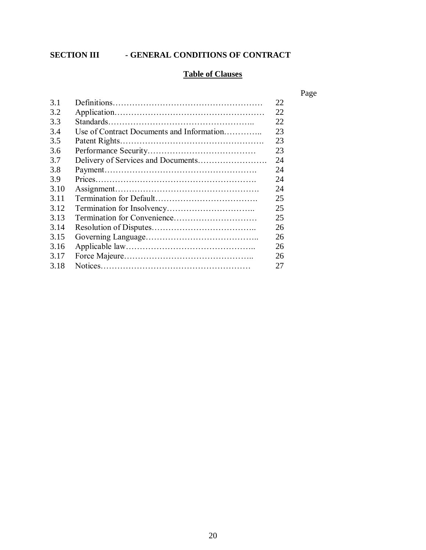# **SECTION III - GENERAL CONDITIONS OF CONTRACT**

# **Table of Clauses**

Page

| 3.1  |                                           | 22 |
|------|-------------------------------------------|----|
| 3.2  |                                           | 22 |
| 3.3  |                                           | 22 |
| 3.4  | Use of Contract Documents and Information | 23 |
| 3.5  |                                           | 23 |
| 3.6  |                                           | 23 |
| 3.7  |                                           | 24 |
| 3.8  |                                           | 24 |
| 3.9  |                                           | 24 |
| 3.10 |                                           | 24 |
| 3.11 |                                           | 25 |
| 3.12 |                                           | 25 |
| 3.13 |                                           | 25 |
| 3.14 |                                           | 26 |
| 3.15 |                                           | 26 |
| 3.16 |                                           | 26 |
| 3.17 |                                           | 26 |
| 3.18 |                                           | 27 |
|      |                                           |    |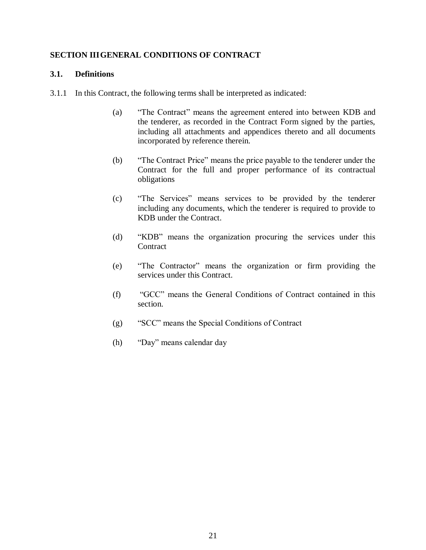# **SECTION IIIGENERAL CONDITIONS OF CONTRACT**

# **3.1. Definitions**

- 3.1.1 In this Contract, the following terms shall be interpreted as indicated:
	- (a) "The Contract" means the agreement entered into between KDB and the tenderer, as recorded in the Contract Form signed by the parties, including all attachments and appendices thereto and all documents incorporated by reference therein.
	- (b) "The Contract Price" means the price payable to the tenderer under the Contract for the full and proper performance of its contractual obligations
	- (c) "The Services" means services to be provided by the tenderer including any documents, which the tenderer is required to provide to KDB under the Contract.
	- (d) "KDB" means the organization procuring the services under this **Contract**
	- (e) "The Contractor" means the organization or firm providing the services under this Contract.
	- (f) "GCC" means the General Conditions of Contract contained in this section.
	- (g) "SCC" means the Special Conditions of Contract
	- (h) "Day" means calendar day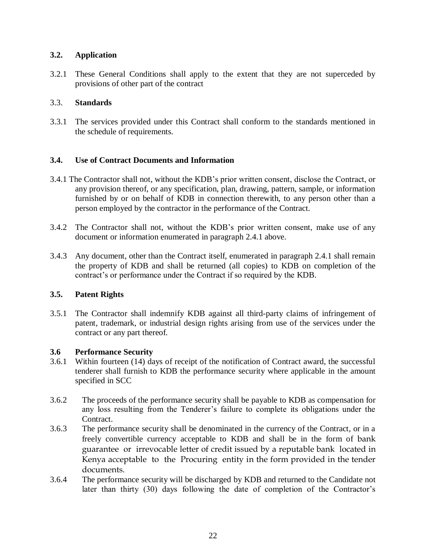# **3.2. Application**

3.2.1 These General Conditions shall apply to the extent that they are not superceded by provisions of other part of the contract

# 3.3. **Standards**

3.3.1 The services provided under this Contract shall conform to the standards mentioned in the schedule of requirements.

# **3.4. Use of Contract Documents and Information**

- 3.4.1 The Contractor shall not, without the KDB's prior written consent, disclose the Contract, or any provision thereof, or any specification, plan, drawing, pattern, sample, or information furnished by or on behalf of KDB in connection therewith, to any person other than a person employed by the contractor in the performance of the Contract.
- 3.4.2 The Contractor shall not, without the KDB's prior written consent, make use of any document or information enumerated in paragraph 2.4.1 above.
- 3.4.3 Any document, other than the Contract itself, enumerated in paragraph 2.4.1 shall remain the property of KDB and shall be returned (all copies) to KDB on completion of the contract's or performance under the Contract if so required by the KDB.

#### **3.5. Patent Rights**

3.5.1 The Contractor shall indemnify KDB against all third-party claims of infringement of patent, trademark, or industrial design rights arising from use of the services under the contract or any part thereof.

#### **3.6 Performance Security**

- 3.6.1 Within fourteen (14) days of receipt of the notification of Contract award, the successful tenderer shall furnish to KDB the performance security where applicable in the amount specified in SCC
- 3.6.2 The proceeds of the performance security shall be payable to KDB as compensation for any loss resulting from the Tenderer's failure to complete its obligations under the Contract.
- 3.6.3 The performance security shall be denominated in the currency of the Contract, or in a freely convertible currency acceptable to KDB and shall be in the form of bank guarantee or irrevocable letter of credit issued by a reputable bank located in Kenya acceptable to the Procuring entity in the form provided in the tender documents.
- 3.6.4 The performance security will be discharged by KDB and returned to the Candidate not later than thirty (30) days following the date of completion of the Contractor's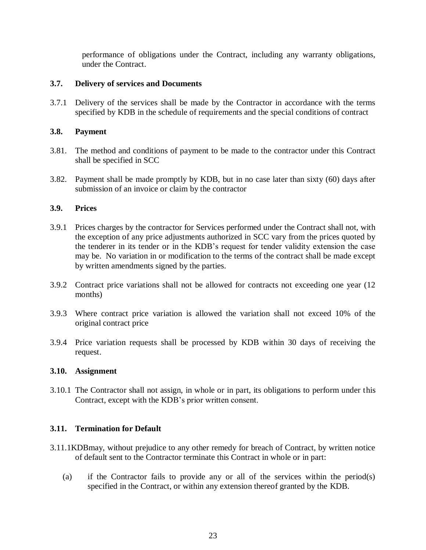performance of obligations under the Contract, including any warranty obligations, under the Contract.

# **3.7. Delivery of services and Documents**

3.7.1 Delivery of the services shall be made by the Contractor in accordance with the terms specified by KDB in the schedule of requirements and the special conditions of contract

# **3.8. Payment**

- 3.81. The method and conditions of payment to be made to the contractor under this Contract shall be specified in SCC
- 3.82. Payment shall be made promptly by KDB, but in no case later than sixty (60) days after submission of an invoice or claim by the contractor

# **3.9. Prices**

- 3.9.1 Prices charges by the contractor for Services performed under the Contract shall not, with the exception of any price adjustments authorized in SCC vary from the prices quoted by the tenderer in its tender or in the KDB's request for tender validity extension the case may be. No variation in or modification to the terms of the contract shall be made except by written amendments signed by the parties.
- 3.9.2 Contract price variations shall not be allowed for contracts not exceeding one year (12 months)
- 3.9.3 Where contract price variation is allowed the variation shall not exceed 10% of the original contract price
- 3.9.4 Price variation requests shall be processed by KDB within 30 days of receiving the request.

#### **3.10. Assignment**

3.10.1 The Contractor shall not assign, in whole or in part, its obligations to perform under this Contract, except with the KDB's prior written consent.

# **3.11. Termination for Default**

- 3.11.1KDBmay, without prejudice to any other remedy for breach of Contract, by written notice of default sent to the Contractor terminate this Contract in whole or in part:
	- (a) if the Contractor fails to provide any or all of the services within the period(s) specified in the Contract, or within any extension thereof granted by the KDB.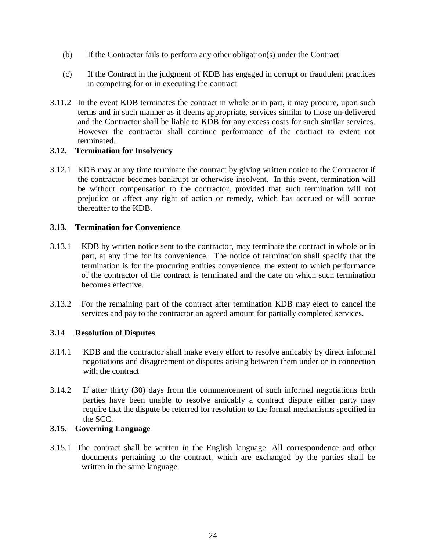- (b) If the Contractor fails to perform any other obligation(s) under the Contract
- (c) If the Contract in the judgment of KDB has engaged in corrupt or fraudulent practices in competing for or in executing the contract
- 3.11.2 In the event KDB terminates the contract in whole or in part, it may procure, upon such terms and in such manner as it deems appropriate, services similar to those un-delivered and the Contractor shall be liable to KDB for any excess costs for such similar services. However the contractor shall continue performance of the contract to extent not terminated.

# **3.12. Termination for Insolvency**

3.12.1 KDB may at any time terminate the contract by giving written notice to the Contractor if the contractor becomes bankrupt or otherwise insolvent. In this event, termination will be without compensation to the contractor, provided that such termination will not prejudice or affect any right of action or remedy, which has accrued or will accrue thereafter to the KDB.

# **3.13. Termination for Convenience**

- 3.13.1 KDB by written notice sent to the contractor, may terminate the contract in whole or in part, at any time for its convenience. The notice of termination shall specify that the termination is for the procuring entities convenience, the extent to which performance of the contractor of the contract is terminated and the date on which such termination becomes effective.
- 3.13.2 For the remaining part of the contract after termination KDB may elect to cancel the services and pay to the contractor an agreed amount for partially completed services.

#### **3.14 Resolution of Disputes**

- 3.14.1 KDB and the contractor shall make every effort to resolve amicably by direct informal negotiations and disagreement or disputes arising between them under or in connection with the contract
- 3.14.2 If after thirty (30) days from the commencement of such informal negotiations both parties have been unable to resolve amicably a contract dispute either party may require that the dispute be referred for resolution to the formal mechanisms specified in the SCC.

### **3.15. Governing Language**

3.15.1. The contract shall be written in the English language. All correspondence and other documents pertaining to the contract, which are exchanged by the parties shall be written in the same language.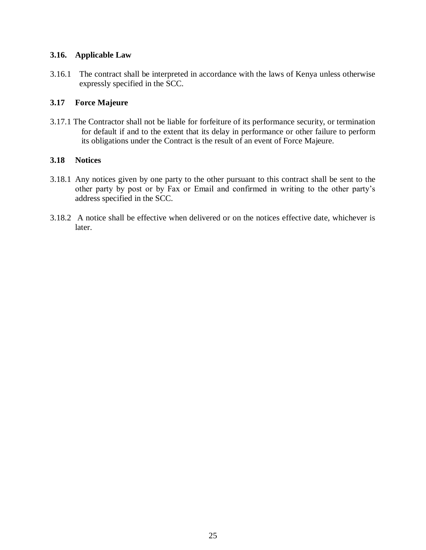# **3.16. Applicable Law**

3.16.1 The contract shall be interpreted in accordance with the laws of Kenya unless otherwise expressly specified in the SCC.

# **3.17 Force Majeure**

3.17.1 The Contractor shall not be liable for forfeiture of its performance security, or termination for default if and to the extent that its delay in performance or other failure to perform its obligations under the Contract is the result of an event of Force Majeure.

# **3.18 Notices**

- 3.18.1 Any notices given by one party to the other pursuant to this contract shall be sent to the other party by post or by Fax or Email and confirmed in writing to the other party's address specified in the SCC.
- 3.18.2 A notice shall be effective when delivered or on the notices effective date, whichever is later.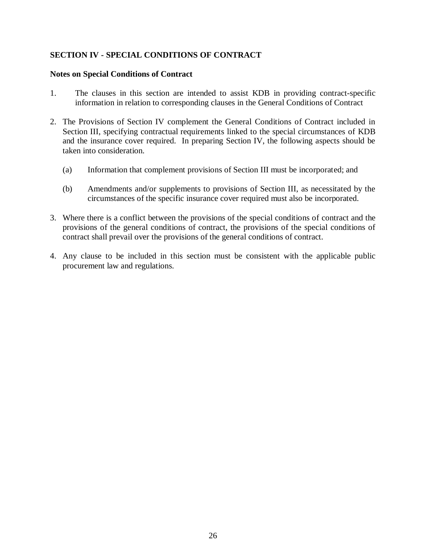# **SECTION IV - SPECIAL CONDITIONS OF CONTRACT**

#### **Notes on Special Conditions of Contract**

- 1. The clauses in this section are intended to assist KDB in providing contract-specific information in relation to corresponding clauses in the General Conditions of Contract
- 2. The Provisions of Section IV complement the General Conditions of Contract included in Section III, specifying contractual requirements linked to the special circumstances of KDB and the insurance cover required. In preparing Section IV, the following aspects should be taken into consideration.
	- (a) Information that complement provisions of Section III must be incorporated; and
	- (b) Amendments and/or supplements to provisions of Section III, as necessitated by the circumstances of the specific insurance cover required must also be incorporated.
- 3. Where there is a conflict between the provisions of the special conditions of contract and the provisions of the general conditions of contract, the provisions of the special conditions of contract shall prevail over the provisions of the general conditions of contract.
- 4. Any clause to be included in this section must be consistent with the applicable public procurement law and regulations.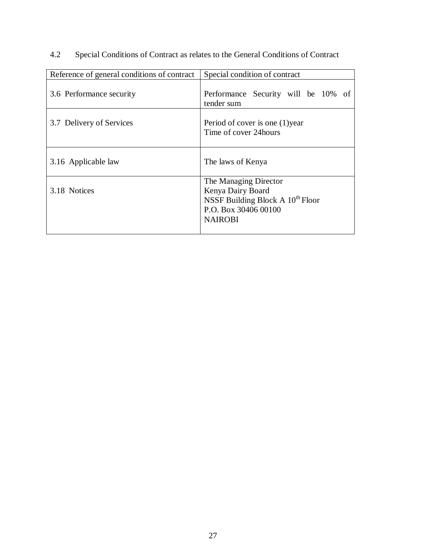| Reference of general conditions of contract | Special condition of contract                                                                                                 |  |  |
|---------------------------------------------|-------------------------------------------------------------------------------------------------------------------------------|--|--|
| 3.6 Performance security                    | Performance Security will be 10% of<br>tender sum                                                                             |  |  |
| 3.7 Delivery of Services                    | Period of cover is one (1) year<br>Time of cover 24 hours                                                                     |  |  |
| 3.16 Applicable law                         | The laws of Kenya                                                                                                             |  |  |
| 3.18 Notices                                | The Managing Director<br>Kenya Dairy Board<br>NSSF Building Block A $10^{th}$ Floor<br>P.O. Box 30406 00100<br><b>NAIROBI</b> |  |  |

4.2 Special Conditions of Contract as relates to the General Conditions of Contract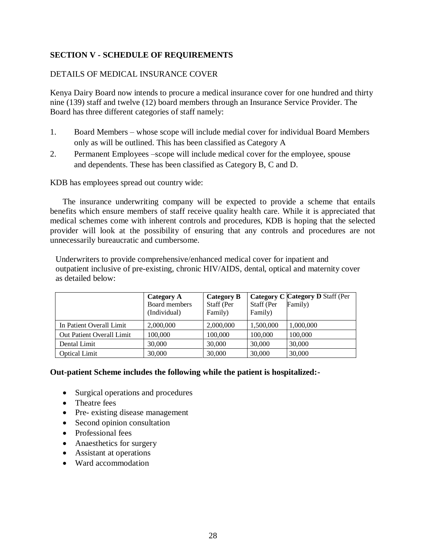# **SECTION V - SCHEDULE OF REQUIREMENTS**

# DETAILS OF MEDICAL INSURANCE COVER

Kenya Dairy Board now intends to procure a medical insurance cover for one hundred and thirty nine (139) staff and twelve (12) board members through an Insurance Service Provider. The Board has three different categories of staff namely:

- 1. Board Members whose scope will include medial cover for individual Board Members only as will be outlined. This has been classified as Category A
- 2. Permanent Employees –scope will include medical cover for the employee, spouse and dependents. These has been classified as Category B, C and D.

KDB has employees spread out country wide:

The insurance underwriting company will be expected to provide a scheme that entails benefits which ensure members of staff receive quality health care. While it is appreciated that medical schemes come with inherent controls and procedures, KDB is hoping that the selected provider will look at the possibility of ensuring that any controls and procedures are not unnecessarily bureaucratic and cumbersome.

Underwriters to provide comprehensive/enhanced medical cover for inpatient and outpatient inclusive of pre-existing, chronic HIV/AIDS, dental, optical and maternity cover as detailed below:

|                           | Category A<br>Board members<br>(Individual) | Category B<br>Staff (Per<br>Family) | Staff (Per<br>Family) | Category C Category D Staff (Per<br>Family) |
|---------------------------|---------------------------------------------|-------------------------------------|-----------------------|---------------------------------------------|
| In Patient Overall Limit  | 2,000,000                                   | 2,000,000                           | 1,500,000             | 1,000,000                                   |
| Out Patient Overall Limit | 100,000                                     | 100,000                             | 100,000               | 100,000                                     |
| Dental Limit              | 30,000                                      | 30,000                              | 30,000                | 30,000                                      |
| <b>Optical Limit</b>      | 30,000                                      | 30,000                              | 30,000                | 30,000                                      |

**Out-patient Scheme includes the following while the patient is hospitalized:-**

- Surgical operations and procedures
- Theatre fees
- Pre- existing disease management
- Second opinion consultation
- Professional fees
- Anaesthetics for surgery
- Assistant at operations
- Ward accommodation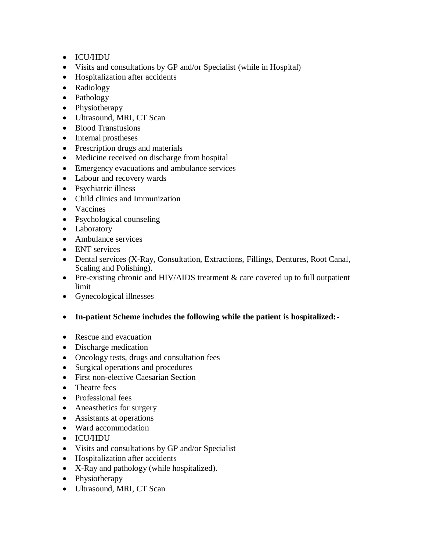- ICU/HDU
- Visits and consultations by GP and/or Specialist (while in Hospital)
- Hospitalization after accidents
- Radiology
- Pathology
- Physiotherapy
- Ultrasound, MRI, CT Scan
- Blood Transfusions
- Internal prostheses
- Prescription drugs and materials
- Medicine received on discharge from hospital
- Emergency evacuations and ambulance services
- Labour and recovery wards
- Psychiatric illness
- Child clinics and Immunization
- Vaccines
- Psychological counseling
- Laboratory
- Ambulance services
- ENT services
- Dental services (X-Ray, Consultation, Extractions, Fillings, Dentures, Root Canal, Scaling and Polishing).
- Pre-existing chronic and HIV/AIDS treatment  $&$  care covered up to full outpatient limit
- Gynecological illnesses
- **In-patient Scheme includes the following while the patient is hospitalized:-**
- Rescue and evacuation
- Discharge medication
- Oncology tests, drugs and consultation fees
- Surgical operations and procedures
- First non-elective Caesarian Section
- Theatre fees
- Professional fees
- Aneasthetics for surgery
- Assistants at operations
- Ward accommodation
- ICU/HDU
- Visits and consultations by GP and/or Specialist
- Hospitalization after accidents
- X-Ray and pathology (while hospitalized).
- Physiotherapy
- Ultrasound, MRI, CT Scan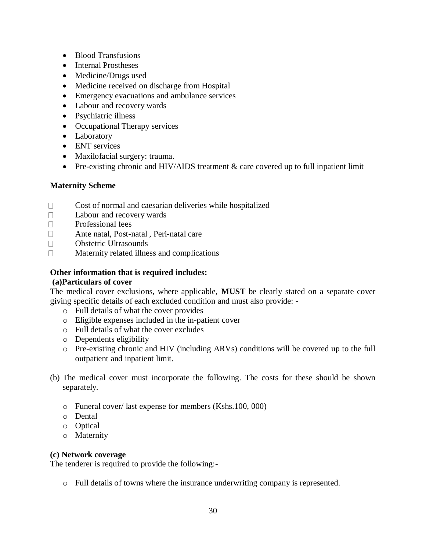- Blood Transfusions
- Internal Prostheses
- Medicine/Drugs used
- Medicine received on discharge from Hospital
- Emergency evacuations and ambulance services
- Labour and recovery wards
- Psychiatric illness
- Occupational Therapy services
- Laboratory
- ENT services
- Maxilofacial surgery: trauma.
- Pre-existing chronic and HIV/AIDS treatment & care covered up to full inpatient limit

# **Maternity Scheme**

- $\Box$ Cost of normal and caesarian deliveries while hospitalized
- $\Box$ Labour and recovery wards
- $\Box$ Professional fees
- $\Box$ Ante natal, Post-natal , Peri-natal care
- Obstetric Ultrasounds  $\Box$
- $\Box$ Maternity related illness and complications

# **Other information that is required includes:**

# **(a)Particulars of cover**

The medical cover exclusions, where applicable, **MUST** be clearly stated on a separate cover giving specific details of each excluded condition and must also provide: -

- o Full details of what the cover provides
- o Eligible expenses included in the in-patient cover
- o Full details of what the cover excludes
- o Dependents eligibility
- o Pre-existing chronic and HIV (including ARVs) conditions will be covered up to the full outpatient and inpatient limit.
- (b) The medical cover must incorporate the following. The costs for these should be shown separately.
	- o Funeral cover/ last expense for members (Kshs.100, 000)
	- o Dental
	- o Optical
	- o Maternity

# **(c) Network coverage**

The tenderer is required to provide the following:-

o Full details of towns where the insurance underwriting company is represented.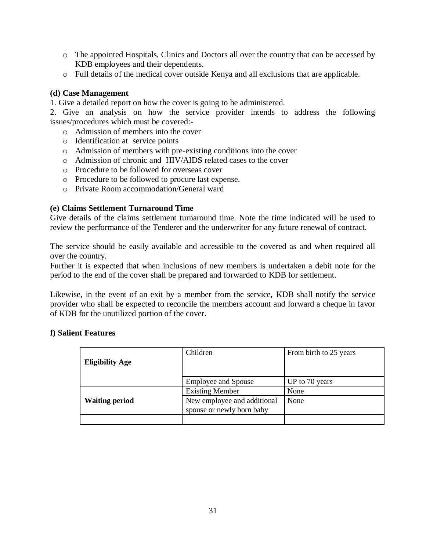- o The appointed Hospitals, Clinics and Doctors all over the country that can be accessed by KDB employees and their dependents.
- o Full details of the medical cover outside Kenya and all exclusions that are applicable.

# **(d) Case Management**

1. Give a detailed report on how the cover is going to be administered.

2. Give an analysis on how the service provider intends to address the following issues/procedures which must be covered:-

- o Admission of members into the cover
- o Identification at service points
- o Admission of members with pre-existing conditions into the cover
- o Admission of chronic and HIV/AIDS related cases to the cover
- o Procedure to be followed for overseas cover
- o Procedure to be followed to procure last expense.
- o Private Room accommodation/General ward

#### **(e) Claims Settlement Turnaround Time**

Give details of the claims settlement turnaround time. Note the time indicated will be used to review the performance of the Tenderer and the underwriter for any future renewal of contract.

The service should be easily available and accessible to the covered as and when required all over the country.

Further it is expected that when inclusions of new members is undertaken a debit note for the period to the end of the cover shall be prepared and forwarded to KDB for settlement.

Likewise, in the event of an exit by a member from the service, KDB shall notify the service provider who shall be expected to reconcile the members account and forward a cheque in favor of KDB for the unutilized portion of the cover.

#### **f) Salient Features**

| <b>Eligibility Age</b> | Children                                                 | From birth to 25 years |  |
|------------------------|----------------------------------------------------------|------------------------|--|
|                        |                                                          |                        |  |
|                        | <b>Employee and Spouse</b>                               | UP to 70 years         |  |
|                        | <b>Existing Member</b>                                   | None                   |  |
| <b>Waiting period</b>  | New employee and additional<br>spouse or newly born baby | None                   |  |
|                        |                                                          |                        |  |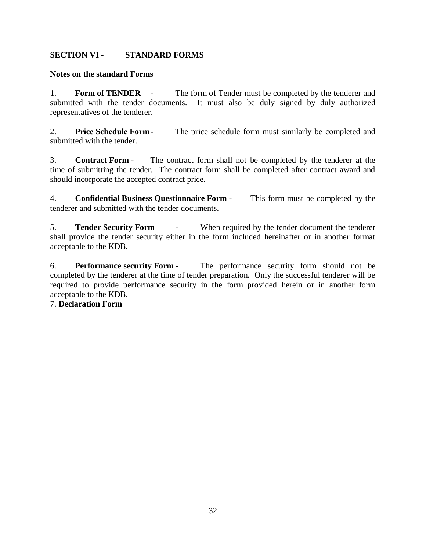# **SECTION VI - STANDARD FORMS**

# **Notes on the standard Forms**

1. **Form of TENDER** - The form of Tender must be completed by the tenderer and submitted with the tender documents. It must also be duly signed by duly authorized representatives of the tenderer.

2. **Price Schedule Form**- The price schedule form must similarly be completed and submitted with the tender.

3. **Contract Form** - The contract form shall not be completed by the tenderer at the time of submitting the tender. The contract form shall be completed after contract award and should incorporate the accepted contract price.

4. **Confidential Business Questionnaire Form** - This form must be completed by the tenderer and submitted with the tender documents.

5. **Tender Security Form** - When required by the tender document the tenderer shall provide the tender security either in the form included hereinafter or in another format acceptable to the KDB.

6. **Performance security Form** - The performance security form should not be completed by the tenderer at the time of tender preparation. Only the successful tenderer will be required to provide performance security in the form provided herein or in another form acceptable to the KDB.

# 7. **Declaration Form**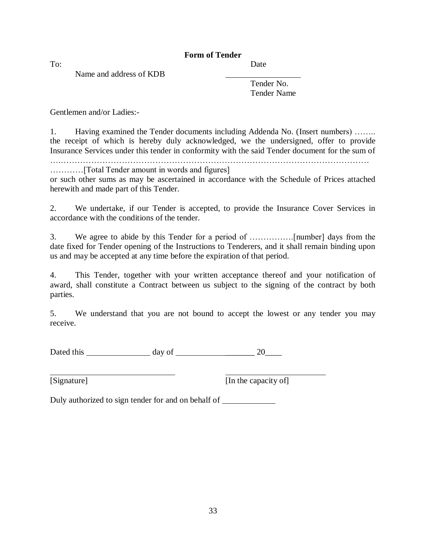# **Form of Tender**

Name and address of KDB

To: Date

Tender No. Tender Name

Gentlemen and/or Ladies:-

1. Having examined the Tender documents including Addenda No. (Insert numbers) …….. the receipt of which is hereby duly acknowledged, we the undersigned, offer to provide Insurance Services under this tender in conformity with the said Tender document for the sum of

….…………………………………………………………………………………………………

…………[Total Tender amount in words and figures] or such other sums as may be ascertained in accordance with the Schedule of Prices attached herewith and made part of this Tender.

2. We undertake, if our Tender is accepted, to provide the Insurance Cover Services in accordance with the conditions of the tender.

3. We agree to abide by this Tender for a period of …………….[number] days from the date fixed for Tender opening of the Instructions to Tenderers, and it shall remain binding upon us and may be accepted at any time before the expiration of that period.

4. This Tender, together with your written acceptance thereof and your notification of award, shall constitute a Contract between us subject to the signing of the contract by both parties.

5. We understand that you are not bound to accept the lowest or any tender you may receive.

Dated this day of \_\_\_\_\_\_\_ 20\_\_\_\_

[Signature] [In the capacity of]

Duly authorized to sign tender for and on behalf of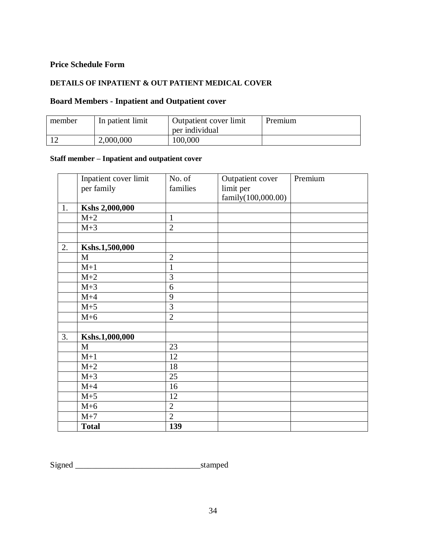# **Price Schedule Form**

#### **DETAILS OF INPATIENT & OUT PATIENT MEDICAL COVER**

# **Board Members - Inpatient and Outpatient cover**

| member | In patient limit | Outpatient cover limit<br>per individual | Premium |
|--------|------------------|------------------------------------------|---------|
|        | 2,000,000        | 100,000                                  |         |

# **Staff member – Inpatient and outpatient cover**

|    | Inpatient cover limit | No. of         | Outpatient cover   | Premium |
|----|-----------------------|----------------|--------------------|---------|
|    | per family            | families       | limit per          |         |
|    |                       |                | family(100,000.00) |         |
| 1. | Kshs 2,000,000        |                |                    |         |
|    | $M+2$                 | $\mathbf{1}$   |                    |         |
|    | $M+3$                 | $\overline{2}$ |                    |         |
|    |                       |                |                    |         |
| 2. | Kshs.1,500,000        |                |                    |         |
|    | M                     | $\overline{2}$ |                    |         |
|    | $M+1$                 | 1              |                    |         |
|    | $M+2$                 | 3              |                    |         |
|    | $M+3$                 | 6              |                    |         |
|    | $M+4$                 | 9              |                    |         |
|    | $M+5$                 | $\overline{3}$ |                    |         |
|    | $M+6$                 | $\overline{2}$ |                    |         |
|    |                       |                |                    |         |
| 3. | Kshs.1,000,000        |                |                    |         |
|    | M                     | 23             |                    |         |
|    | $M+1$                 | 12             |                    |         |
|    | $M+2$                 | 18             |                    |         |
|    | $M+3$                 | 25             |                    |         |
|    | $M+4$                 | 16             |                    |         |
|    | $M+5$                 | 12             |                    |         |
|    | $M+6$                 | $\overline{2}$ |                    |         |
|    | $M+7$                 | $\overline{2}$ |                    |         |
|    | <b>Total</b>          | 139            |                    |         |

Signed \_\_\_\_\_\_\_\_\_\_\_\_\_\_\_\_\_\_\_\_\_\_\_\_\_\_\_\_\_\_stamped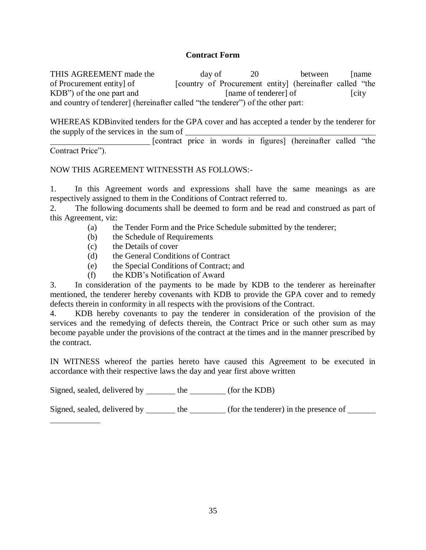### **Contract Form**

THIS AGREEMENT made the day of 20 between [name of Procurement entity] of [country of Procurement entity] (hereinafter called "the  $KDB'$ ) of the one part and  $[name of tendency]$  [city and country of tenderer] (hereinafter called "the tenderer") of the other part:

WHEREAS KDBinvited tenders for the GPA cover and has accepted a tender by the tenderer for the supply of the services in the sum of

[contract price in words in figures] (hereinafter called "the Contract Price").

# NOW THIS AGREEMENT WITNESSTH AS FOLLOWS:-

1. In this Agreement words and expressions shall have the same meanings as are respectively assigned to them in the Conditions of Contract referred to.

2. The following documents shall be deemed to form and be read and construed as part of this Agreement, viz:

- (a) the Tender Form and the Price Schedule submitted by the tenderer;
- (b) the Schedule of Requirements
- (c) the Details of cover
- (d) the General Conditions of Contract
- (e) the Special Conditions of Contract; and
- (f) the KDB's Notification of Award

3. In consideration of the payments to be made by KDB to the tenderer as hereinafter mentioned, the tenderer hereby covenants with KDB to provide the GPA cover and to remedy defects therein in conformity in all respects with the provisions of the Contract.

4. KDB hereby covenants to pay the tenderer in consideration of the provision of the services and the remedying of defects therein, the Contract Price or such other sum as may become payable under the provisions of the contract at the times and in the manner prescribed by the contract.

IN WITNESS whereof the parties hereto have caused this Agreement to be executed in accordance with their respective laws the day and year first above written

Signed, sealed, delivered by the (for the KDB)

Signed, sealed, delivered by \_\_\_\_\_\_\_ the \_\_\_\_\_\_\_\_ (for the tenderer) in the presence of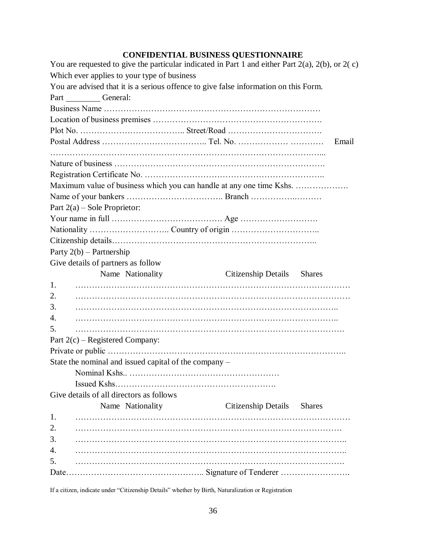# **CONFIDENTIAL BUSINESS QUESTIONNAIRE**

| You are requested to give the particular indicated in Part 1 and either Part $2(a)$ , $2(b)$ , or $2(c)$ |                            |       |
|----------------------------------------------------------------------------------------------------------|----------------------------|-------|
| Which ever applies to your type of business                                                              |                            |       |
| You are advised that it is a serious offence to give false information on this Form.                     |                            |       |
| Part General:                                                                                            |                            |       |
|                                                                                                          |                            |       |
|                                                                                                          |                            |       |
|                                                                                                          |                            |       |
|                                                                                                          |                            | Email |
|                                                                                                          |                            |       |
|                                                                                                          |                            |       |
|                                                                                                          |                            |       |
| Maximum value of business which you can handle at any one time Kshs.                                     |                            |       |
|                                                                                                          |                            |       |
| Part $2(a)$ – Sole Proprietor:                                                                           |                            |       |
|                                                                                                          |                            |       |
|                                                                                                          |                            |       |
|                                                                                                          |                            |       |
| Party $2(b)$ – Partnership                                                                               |                            |       |
| Give details of partners as follow                                                                       |                            |       |
| Name Nationality                                                                                         |                            |       |
|                                                                                                          | Citizenship Details Shares |       |
| 1.                                                                                                       |                            |       |
| 2.                                                                                                       |                            |       |
| 3.                                                                                                       |                            |       |
| 4.                                                                                                       |                            |       |
| 5.                                                                                                       |                            |       |
| Part $2(c)$ – Registered Company:                                                                        |                            |       |
|                                                                                                          |                            |       |
|                                                                                                          |                            |       |
| State the nominal and issued capital of the company -                                                    |                            |       |
|                                                                                                          |                            |       |
| Give details of all directors as follows                                                                 |                            |       |
| Name Nationality                                                                                         | Citizenship Details Shares |       |
| 1.                                                                                                       |                            |       |
| 2.                                                                                                       |                            |       |
| 3.                                                                                                       |                            |       |
| 4.                                                                                                       |                            |       |
| 5.                                                                                                       |                            |       |

If a citizen, indicate under "Citizenship Details" whether by Birth, Naturalization or Registration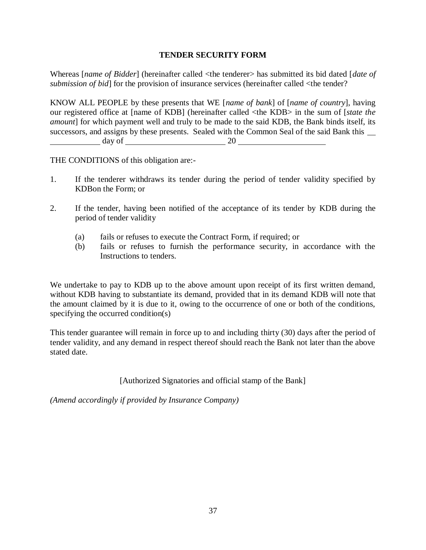# **TENDER SECURITY FORM**

Whereas [*name of Bidder*] (hereinafter called <the tenderer> has submitted its bid dated [*date of submission of bid*] for the provision of insurance services (hereinafter called <the tender?

KNOW ALL PEOPLE by these presents that WE [*name of bank*] of [*name of country*], having our registered office at [name of KDB] (hereinafter called <the KDB> in the sum of [*state the amount*] for which payment well and truly to be made to the said KDB, the Bank binds itself, its successors, and assigns by these presents. Sealed with the Common Seal of the said Bank this day of 20

THE CONDITIONS of this obligation are:-

- 1. If the tenderer withdraws its tender during the period of tender validity specified by KDBon the Form; or
- 2. If the tender, having been notified of the acceptance of its tender by KDB during the period of tender validity
	- (a) fails or refuses to execute the Contract Form, if required; or
	- (b) fails or refuses to furnish the performance security, in accordance with the Instructions to tenders.

We undertake to pay to KDB up to the above amount upon receipt of its first written demand, without KDB having to substantiate its demand, provided that in its demand KDB will note that the amount claimed by it is due to it, owing to the occurrence of one or both of the conditions, specifying the occurred condition(s)

This tender guarantee will remain in force up to and including thirty (30) days after the period of tender validity, and any demand in respect thereof should reach the Bank not later than the above stated date.

[Authorized Signatories and official stamp of the Bank]

*(Amend accordingly if provided by Insurance Company)*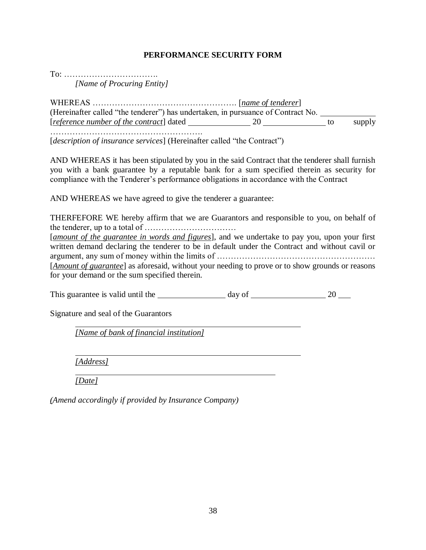# **PERFORMANCE SECURITY FORM**

To: ……………………………. *[Name of Procuring Entity]*

WHEREAS ……………………………………………. [*name of tenderer*] (Hereinafter called "the tenderer") has undertaken, in pursuance of Contract No. [*reference number of the contract*] dated 20 to supply ……………………………………………….

[*description of insurance services*] (Hereinafter called "the Contract")

AND WHEREAS it has been stipulated by you in the said Contract that the tenderer shall furnish you with a bank guarantee by a reputable bank for a sum specified therein as security for compliance with the Tenderer's performance obligations in accordance with the Contract

AND WHEREAS we have agreed to give the tenderer a guarantee:

THERFEFORE WE hereby affirm that we are Guarantors and responsible to you, on behalf of the tenderer, up to a total of ……………………………

[*amount of the guarantee in words and figures*], and we undertake to pay you, upon your first written demand declaring the tenderer to be in default under the Contract and without cavil or argument, any sum of money within the limits of ……………………………………………………………………………………… [*Amount of guarantee*] as aforesaid, without your needing to prove or to show grounds or reasons for your demand or the sum specified therein.

This guarantee is valid until the day of 20

Signature and seal of the Guarantors

*[Name of bank of financial institution]*

*[Address]*

*[Date]*

*(Amend accordingly if provided by Insurance Company)*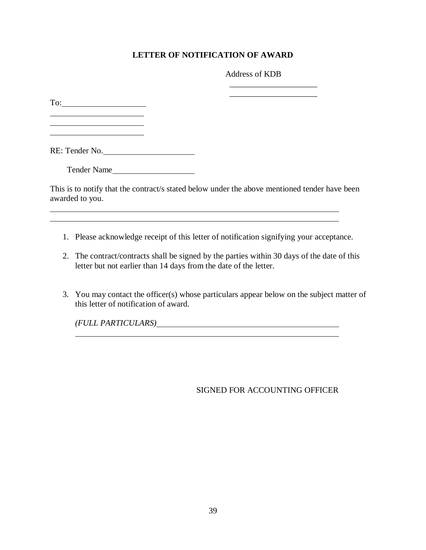# **LETTER OF NOTIFICATION OF AWARD**

Address of KDB

\_\_\_\_\_\_\_\_\_\_\_\_\_\_\_\_\_\_\_\_\_ \_\_\_\_\_\_\_\_\_\_\_\_\_\_\_\_\_\_\_\_\_

To: 

l

RE: Tender No.

Tender Name

This is to notify that the contract/s stated below under the above mentioned tender have been awarded to you.

<u> 1989 - Johann Stoff, amerikansk politiker (\* 1908)</u>

- 1. Please acknowledge receipt of this letter of notification signifying your acceptance.
- 2. The contract/contracts shall be signed by the parties within 30 days of the date of this letter but not earlier than 14 days from the date of the letter.
- 3. You may contact the officer(s) whose particulars appear below on the subject matter of this letter of notification of award.

*(FULL PARTICULARS)*

SIGNED FOR ACCOUNTING OFFICER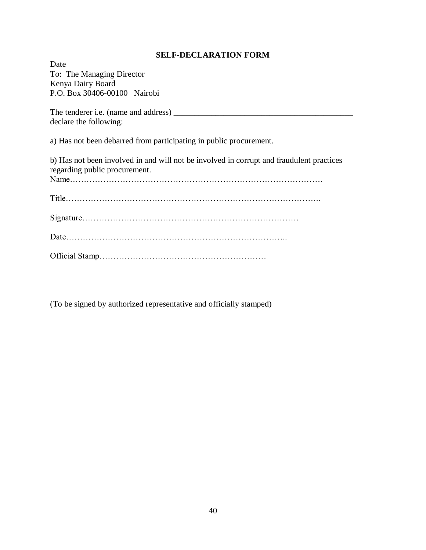# **SELF-DECLARATION FORM**

| Date                                                                                                                      |
|---------------------------------------------------------------------------------------------------------------------------|
| To: The Managing Director                                                                                                 |
| Kenya Dairy Board                                                                                                         |
| P.O. Box 30406-00100 Nairobi                                                                                              |
|                                                                                                                           |
| declare the following:                                                                                                    |
| a) Has not been debarred from participating in public procurement.                                                        |
| b) Has not been involved in and will not be involved in corrupt and fraudulent practices<br>regarding public procurement. |
|                                                                                                                           |
|                                                                                                                           |
|                                                                                                                           |
|                                                                                                                           |

(To be signed by authorized representative and officially stamped)